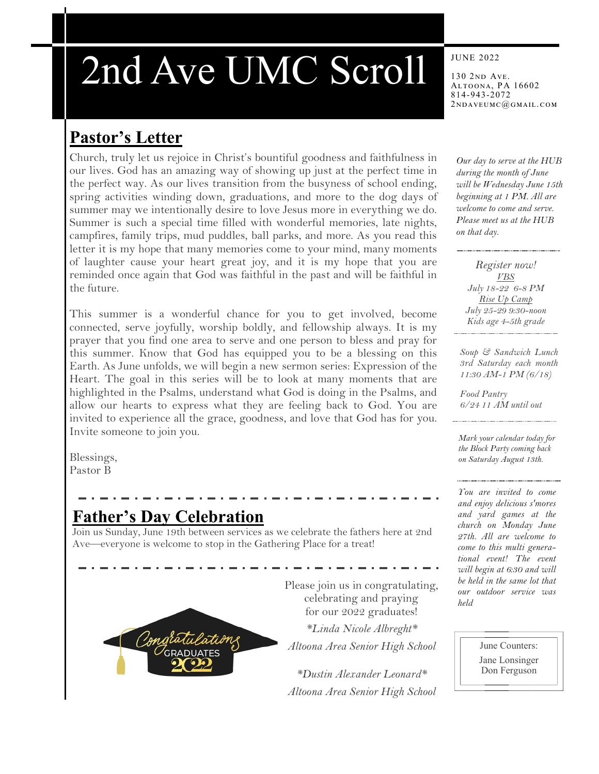# 2nd Ave UMC Scroll

# **Pastor's Letter**

Church, truly let us rejoice in Christ's bountiful goodness and faithfulness in our lives. God has an amazing way of showing up just at the perfect time in the perfect way. As our lives transition from the busyness of school ending, spring activities winding down, graduations, and more to the dog days of summer may we intentionally desire to love Jesus more in everything we do. Summer is such a special time filled with wonderful memories, late nights, campfires, family trips, mud puddles, ball parks, and more. As you read this letter it is my hope that many memories come to your mind, many moments of laughter cause your heart great joy, and it is my hope that you are reminded once again that God was faithful in the past and will be faithful in the future.

This summer is a wonderful chance for you to get involved, become connected, serve joyfully, worship boldly, and fellowship always. It is my prayer that you find one area to serve and one person to bless and pray for this summer. Know that God has equipped you to be a blessing on this Earth. As June unfolds, we will begin a new sermon series: Expression of the Heart. The goal in this series will be to look at many moments that are highlighted in the Psalms, understand what God is doing in the Psalms, and allow our hearts to express what they are feeling back to God. You are invited to experience all the grace, goodness, and love that God has for you. Invite someone to join you.

Blessings, Pastor B

# **Father's Day Celebration**

Join us Sunday, June 19th between services as we celebrate the fathers here at 2nd Ave—everyone is welcome to stop in the Gathering Place for a treat!



Please join us in congratulating, celebrating and praying for our 2022 graduates!

*\*Linda Nicole Albreght\* Altoona Area Senior High School*

*\*Dustin Alexander Leonard\* Altoona Area Senior High School*

#### JUNE 2022

130 2nd Ave. Altoona, PA 16602 814-943-2072 2ndaveumc@gmail.com

*Our day to serve at the HUB during the month of June will be Wednesday June 15th beginning at 1 PM. All are welcome to come and serve. Please meet us at the HUB on that day.*

*Register now! VBS July 18-22 6-8 PM Rise Up Camp July 25-29 9:30-noon Kids age 4-5th grade* 

*Soup & Sandwich Lunch 3rd Saturday each month 11:30 AM-1 PM (6/18)*

*Food Pantry 6/24 11 AM until out*

*Mark your calendar today for the Block Party coming back on Saturday August 13th.* 

*You are invited to come and enjoy delicious s'mores and yard games at the church on Monday June 27th. All are welcome to come to this multi generational event! The event will begin at 6:30 and will be held in the same lot that our outdoor service was held*

> June Counters: Jane Lonsinger Don Ferguson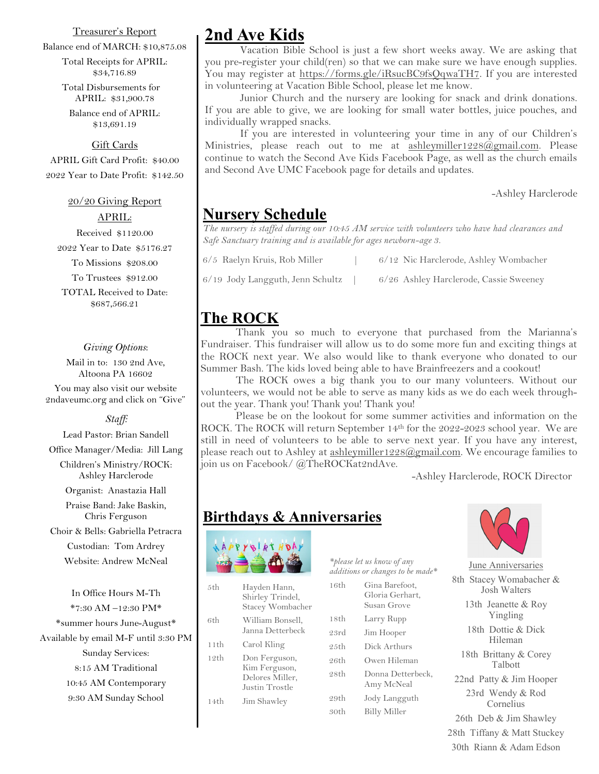#### Treasurer's Report

Balance end of MARCH: \$10,875.08

Total Receipts for APRIL: \$34,716.89

Total Disbursements for APRIL: \$31,900.78

Balance end of APRIL: \$13,691.19

#### Gift Cards

APRIL Gift Card Profit: \$40.00 2022 Year to Date Profit: \$142.50

## 20/20 Giving Report

APRIL:

Received \$1120.00 2022 Year to Date \$5176.27 To Missions \$208.00 To Trustees \$912.00 TOTAL Received to Date: \$687,566.21

#### *Giving Options*:

Mail in to: 130 2nd Ave, Altoona PA 16602

You may also visit our website 2ndaveumc.org and click on "Give"

*Staff:*

Lead Pastor: Brian Sandell

Office Manager/Media: Jill Lang

Children's Ministry/ROCK: Ashley Harclerode

Organist: Anastazia Hall

Praise Band: Jake Baskin, Chris Ferguson

Choir & Bells: Gabriella Petracra

Custodian: Tom Ardrey Website: Andrew McNeal

In Office Hours M-Th \*7:30 AM –12:30 PM\* \*summer hours June-August\* Available by email M-F until 3:30 PM Sunday Services: 8:15 AM Traditional 10:45 AM Contemporary 9:30 AM Sunday School

## **2nd Ave Kids**

Vacation Bible School is just a few short weeks away. We are asking that you pre-register your child(ren) so that we can make sure we have enough supplies. You may register at [https://forms.gle/iRsucBC9fsQqwaTH7.](https://forms.gle/iRsucBC9fsQqwaTH7) If you are interested in volunteering at Vacation Bible School, please let me know.

 Junior Church and the nursery are looking for snack and drink donations. If you are able to give, we are looking for small water bottles, juice pouches, and individually wrapped snacks.

If you are interested in volunteering your time in any of our Children's Ministries, please reach out to me at  $ashleymiller1228@gmail.com$ . Please continue to watch the Second Ave Kids Facebook Page, as well as the church emails and Second Ave UMC Facebook page for details and updates.

-Ashley Harclerode

## **Nursery Schedule**

*The nursery is staffed during our 10:45 AM service with volunteers who have had clearances and Safe Sanctuary training and is available for ages newborn-age 3.* 

| 6/5 Raelyn Kruis, Rob Miller     | 6/12 Nic Harclerode, Ashley Wombacher  |
|----------------------------------|----------------------------------------|
| 6/19 Jody Langguth, Jenn Schultz | 6/26 Ashley Harclerode, Cassie Sweeney |

## **The ROCK**

Thank you so much to everyone that purchased from the Marianna's Fundraiser. This fundraiser will allow us to do some more fun and exciting things at the ROCK next year. We also would like to thank everyone who donated to our Summer Bash. The kids loved being able to have Brainfreezers and a cookout!

The ROCK owes a big thank you to our many volunteers. Without our volunteers, we would not be able to serve as many kids as we do each week throughout the year. Thank you! Thank you! Thank you!

Please be on the lookout for some summer activities and information on the ROCK. The ROCK will return September 14<sup>th</sup> for the 2022-2023 school year. We are still in need of volunteers to be able to serve next year. If you have any interest, please reach out to Ashley at [ashleymiller1228@gmail.com.](mailto:ashleymiller1228@gmail.com) We encourage families to join us on Facebook/@TheROCKat2ndAve.

-Ashley Harclerode, ROCK Director

## **Birthdays & Anniversaries**



| 5th  | Hayden Hann,<br>Shirley Trindel,<br>Stacey Wombacher                |
|------|---------------------------------------------------------------------|
| 6th  | William Bonsell,<br>Janna Detterbeck                                |
| 11th | Carol Kling                                                         |
| 12th | Don Ferguson,<br>Kim Ferguson,<br>Delores Miller,<br>Justin Trostle |
| 14th | Jim Shawley                                                         |

*additions or changes to be made\** 16th Gina Barefoot, Gloria Gerhart, Susan Grove 18th Larry Rupp

23rd Jim Hooper

*\*please let us know of any* 

25th Dick Arthurs 26th Owen Hileman

28th Donna Detterbeck,

Amy McNeal 29th Jody Langguth

30th Billy Miller



June Anniversaries 8th Stacey Womabacher & Josh Walters 13th Jeanette & Roy Yingling 18th Dottie & Dick Hileman

18th Brittany & Corey Talbott

22nd Patty & Jim Hooper 23rd Wendy & Rod Cornelius

26th Deb & Jim Shawley

28th Tiffany & Matt Stuckey 30th Riann & Adam Edson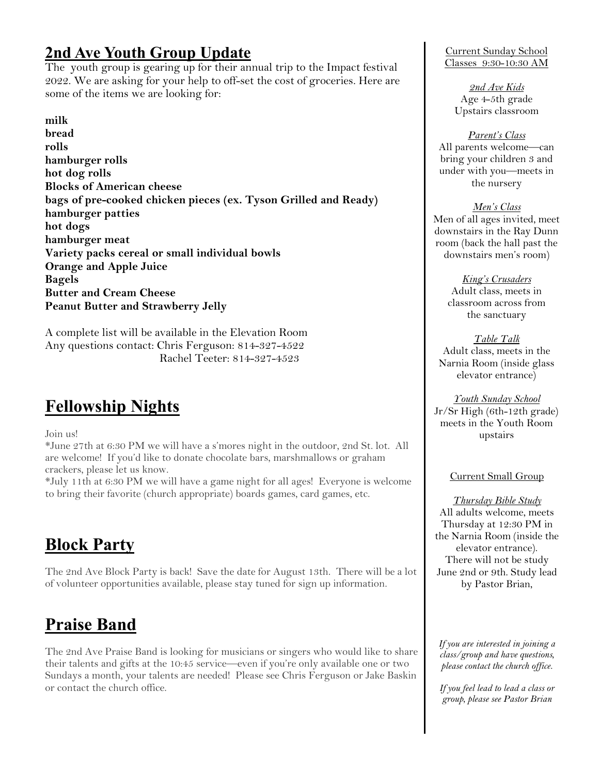# **2nd Ave Youth Group Update**

The youth group is gearing up for their annual trip to the Impact festival 2022. We are asking for your help to off-set the cost of groceries. Here are some of the items we are looking for:

**milk bread rolls hamburger rolls hot dog rolls Blocks of American cheese bags of pre-cooked chicken pieces (ex. Tyson Grilled and Ready) hamburger patties hot dogs hamburger meat Variety packs cereal or small individual bowls Orange and Apple Juice Bagels Butter and Cream Cheese Peanut Butter and Strawberry Jelly**

A complete list will be available in the Elevation Room Any questions contact: Chris Ferguson: 814-327-4522 Rachel Teeter: 814-327-4523

# **Fellowship Nights**

Join us!

\*June 27th at 6:30 PM we will have a s'mores night in the outdoor, 2nd St. lot. All are welcome! If you'd like to donate chocolate bars, marshmallows or graham crackers, please let us know.

\*July 11th at 6:30 PM we will have a game night for all ages! Everyone is welcome to bring their favorite (church appropriate) boards games, card games, etc.

# **Block Party**

The 2nd Ave Block Party is back! Save the date for August 13th. There will be a lot of volunteer opportunities available, please stay tuned for sign up information.

# **Praise Band**

The 2nd Ave Praise Band is looking for musicians or singers who would like to share their talents and gifts at the 10:45 service—even if you're only available one or two Sundays a month, your talents are needed! Please see Chris Ferguson or Jake Baskin or contact the church office.

Current Sunday School Classes 9:30-10:30 AM

> *2nd Ave Kids*  Age 4-5th grade Upstairs classroom

## *Parent's Class*

All parents welcome—can bring your children 3 and under with you—meets in the nursery

*Men's Class*

Men of all ages invited, meet downstairs in the Ray Dunn room (back the hall past the downstairs men's room)

> *King's Crusaders* Adult class, meets in classroom across from the sanctuary

*Table Talk* Adult class, meets in the Narnia Room (inside glass elevator entrance)

*Youth Sunday School* Jr/Sr High (6th-12th grade) meets in the Youth Room upstairs

## Current Small Group

*Thursday Bible Study* All adults welcome, meets Thursday at 12:30 PM in the Narnia Room (inside the elevator entrance). There will not be study June 2nd or 9th. Study lead by Pastor Brian,

*If you are interested in joining a class/group and have questions, please contact the church office.* 

*If you feel lead to lead a class or group, please see Pastor Brian*